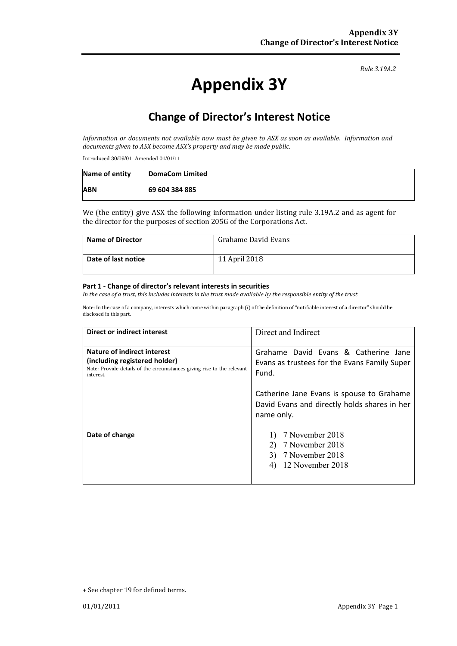#### *Rule 3.19A.2*

# **Appendix 3Y**

# **Change of Director's Interest Notice**

*Information or documents not available now must be given to ASX as soon as available. Information and documents given to ASX become ASX's property and may be made public.*

Introduced 30/09/01 Amended 01/01/11

| Name of entity | <b>DomaCom Limited</b> |
|----------------|------------------------|
| <b>ABN</b>     | 69 604 384 885         |

We (the entity) give ASX the following information under listing rule 3.19A.2 and as agent for the director for the purposes of section 205G of the Corporations Act.

| <b>Name of Director</b> | Grahame David Evans |
|-------------------------|---------------------|
| Date of last notice     | 11 April 2018       |

#### **Part 1 - Change of director's relevant interests in securities**

*In the case of a trust, this includes interests in the trust made available by the responsible entity of the trust*

Note: In the case of a company, interests which come within paragraph (i) of the definition of "notifiable interest of a director" should be disclosed in this part.

| Direct or indirect interest                                                                                                                         | Direct and Indirect                                                                                     |  |
|-----------------------------------------------------------------------------------------------------------------------------------------------------|---------------------------------------------------------------------------------------------------------|--|
| Nature of indirect interest<br>(including registered holder)<br>Note: Provide details of the circumstances giving rise to the relevant<br>interest. | Grahame David Evans & Catherine Jane<br>Evans as trustees for the Evans Family Super<br>Fund.           |  |
|                                                                                                                                                     | Catherine Jane Evans is spouse to Grahame<br>David Evans and directly holds shares in her<br>name only. |  |
| Date of change                                                                                                                                      | 7 November 2018<br>7 November 2018<br>7 November 2018<br>3)<br>12 November 2018                         |  |

<sup>+</sup> See chapter 19 for defined terms.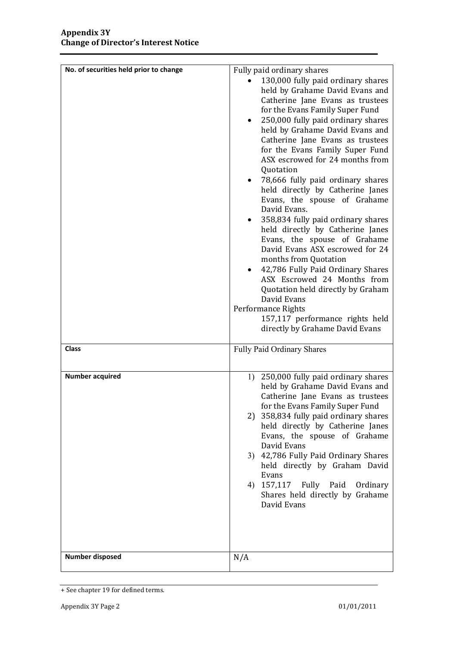| No. of securities held prior to change | Fully paid ordinary shares<br>130,000 fully paid ordinary shares<br>held by Grahame David Evans and<br>Catherine Jane Evans as trustees<br>for the Evans Family Super Fund<br>250,000 fully paid ordinary shares<br>held by Grahame David Evans and<br>Catherine Jane Evans as trustees<br>for the Evans Family Super Fund<br>ASX escrowed for 24 months from<br>Quotation<br>78,666 fully paid ordinary shares<br>held directly by Catherine Janes<br>Evans, the spouse of Grahame<br>David Evans.<br>358,834 fully paid ordinary shares<br>٠<br>held directly by Catherine Janes<br>Evans, the spouse of Grahame<br>David Evans ASX escrowed for 24<br>months from Quotation<br>42,786 Fully Paid Ordinary Shares<br>ASX Escrowed 24 Months from<br>Quotation held directly by Graham<br>David Evans<br>Performance Rights<br>157,117 performance rights held<br>directly by Grahame David Evans |
|----------------------------------------|----------------------------------------------------------------------------------------------------------------------------------------------------------------------------------------------------------------------------------------------------------------------------------------------------------------------------------------------------------------------------------------------------------------------------------------------------------------------------------------------------------------------------------------------------------------------------------------------------------------------------------------------------------------------------------------------------------------------------------------------------------------------------------------------------------------------------------------------------------------------------------------------------|
| <b>Class</b>                           | Fully Paid Ordinary Shares                                                                                                                                                                                                                                                                                                                                                                                                                                                                                                                                                                                                                                                                                                                                                                                                                                                                         |
| <b>Number acquired</b>                 | 1) 250,000 fully paid ordinary shares<br>held by Grahame David Evans and<br>Catherine Jane Evans as trustees<br>for the Evans Family Super Fund<br>358,834 fully paid ordinary shares<br>2)<br>held directly by Catherine Janes<br>Evans, the spouse of Grahame<br>David Evans<br>3) 42,786 Fully Paid Ordinary Shares<br>held directly by Graham David<br>Evans<br>4) 157,117<br>Fully Paid<br>Ordinary<br>Shares held directly by Grahame<br>David Evans                                                                                                                                                                                                                                                                                                                                                                                                                                         |
| <b>Number disposed</b>                 | N/A                                                                                                                                                                                                                                                                                                                                                                                                                                                                                                                                                                                                                                                                                                                                                                                                                                                                                                |

<sup>+</sup> See chapter 19 for defined terms.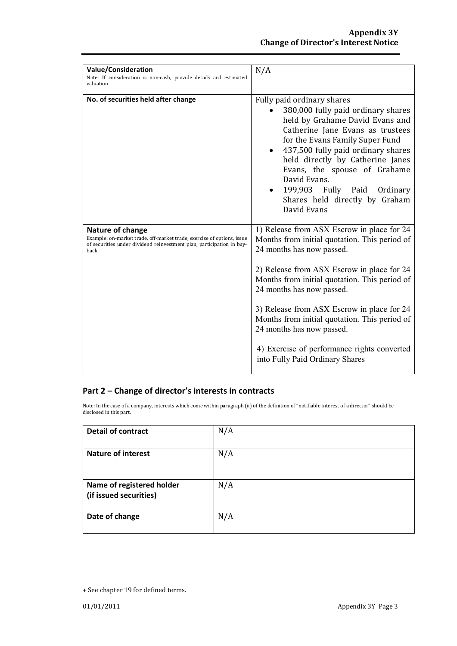| <b>Value/Consideration</b><br>Note: If consideration is non-cash, provide details and estimated<br>valuation                                                                | N/A                                                                                                                                                                                                                                                                                                                                                                                                                                                                |
|-----------------------------------------------------------------------------------------------------------------------------------------------------------------------------|--------------------------------------------------------------------------------------------------------------------------------------------------------------------------------------------------------------------------------------------------------------------------------------------------------------------------------------------------------------------------------------------------------------------------------------------------------------------|
| No. of securities held after change                                                                                                                                         | Fully paid ordinary shares<br>380,000 fully paid ordinary shares<br>held by Grahame David Evans and<br>Catherine Jane Evans as trustees<br>for the Evans Family Super Fund<br>437,500 fully paid ordinary shares<br>$\bullet$<br>held directly by Catherine Janes<br>Evans, the spouse of Grahame<br>David Evans.<br>199,903 Fully Paid<br>Ordinary<br>Shares held directly by Graham<br>David Evans                                                               |
| Nature of change<br>Example: on-market trade, off-market trade, exercise of options, issue<br>of securities under dividend reinvestment plan, participation in buy-<br>back | 1) Release from ASX Escrow in place for 24<br>Months from initial quotation. This period of<br>24 months has now passed.<br>2) Release from ASX Escrow in place for 24<br>Months from initial quotation. This period of<br>24 months has now passed.<br>3) Release from ASX Escrow in place for 24<br>Months from initial quotation. This period of<br>24 months has now passed.<br>4) Exercise of performance rights converted<br>into Fully Paid Ordinary Shares |

### **Part 2 – Change of director's interests in contracts**

Note: In the case of a company, interests which come within paragraph (ii) of the definition of "notifiable interest of a director" should be disclosed in this part.

| <b>Detail of contract</b>                           | N/A |
|-----------------------------------------------------|-----|
| <b>Nature of interest</b>                           | N/A |
| Name of registered holder<br>(if issued securities) | N/A |
| Date of change                                      | N/A |

<sup>+</sup> See chapter 19 for defined terms.